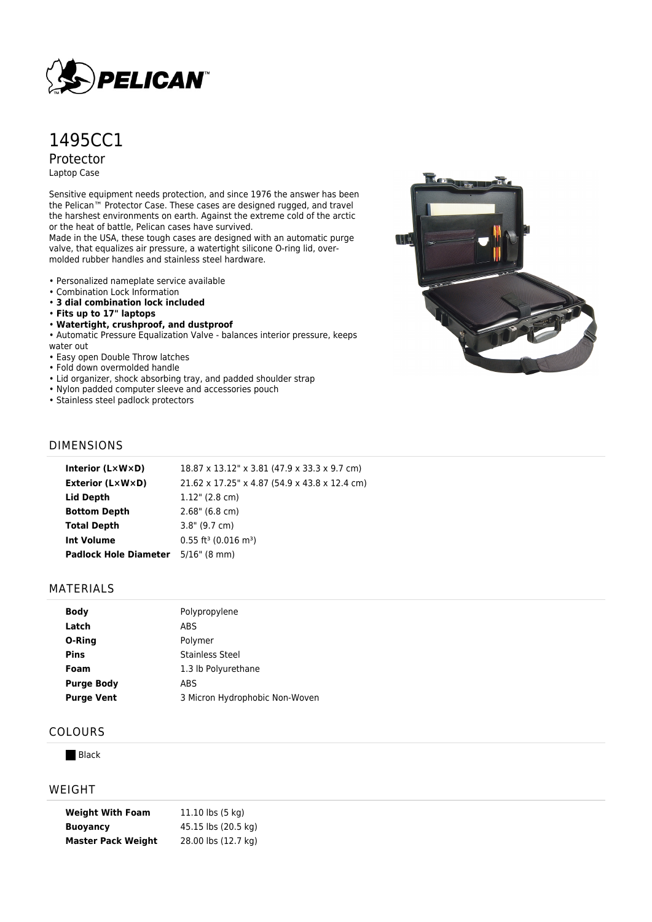

# 1495CC1 Protector

Laptop Case

Sensitive equipment needs protection, and since 1976 the answer has been the Pelican™ Protector Case. These cases are designed rugged, and travel the harshest environments on earth. Against the extreme cold of the arctic or the heat of battle, Pelican cases have survived.

Made in the USA, these tough cases are designed with an automatic purge valve, that equalizes air pressure, a watertight silicone O-ring lid, overmolded rubber handles and stainless steel hardware.

- Personalized nameplate service available
- Combination Lock Information
- **3 dial combination lock included**
- **Fits up to 17" laptops**
- **Watertight, crushproof, and dustproof**
- Automatic Pressure Equalization Valve balances interior pressure, keeps

water out

- Easy open Double Throw latches
- Fold down overmolded handle
- Lid organizer, shock absorbing tray, and padded shoulder strap
- Nylon padded computer sleeve and accessories pouch
- Stainless steel padlock protectors



## DIMENSIONS

| Interior (LxWxD)             | 18.87 x 13.12" x 3.81 (47.9 x 33.3 x 9.7 cm)   |
|------------------------------|------------------------------------------------|
| <b>Exterior (L×W×D)</b>      | 21.62 x 17.25" x 4.87 (54.9 x 43.8 x 12.4 cm)  |
| Lid Depth                    | $1.12$ " (2.8 cm)                              |
| <b>Bottom Depth</b>          | $2.68$ " (6.8 cm)                              |
| <b>Total Depth</b>           | $3.8"$ (9.7 cm)                                |
| Int Volume                   | $0.55$ ft <sup>3</sup> (0.016 m <sup>3</sup> ) |
| <b>Padlock Hole Diameter</b> | $5/16$ " (8 mm)                                |

### MATERIALS

| <b>Body</b>       | Polypropylene                  |  |
|-------------------|--------------------------------|--|
| Latch             | ABS.                           |  |
| O-Ring            | Polymer                        |  |
| Pins              | Stainless Steel                |  |
| Foam              | 1.3 lb Polyurethane            |  |
| <b>Purge Body</b> | <b>ABS</b>                     |  |
| <b>Purge Vent</b> | 3 Micron Hydrophobic Non-Woven |  |
|                   |                                |  |

## COLOURS

**Black** 

#### WEIGHT

| <b>Weight With Foam</b>   | 11.10 lbs (5 kg)    |
|---------------------------|---------------------|
| <b>Buoyancy</b>           | 45.15 lbs (20.5 kg) |
| <b>Master Pack Weight</b> | 28.00 lbs (12.7 kg) |